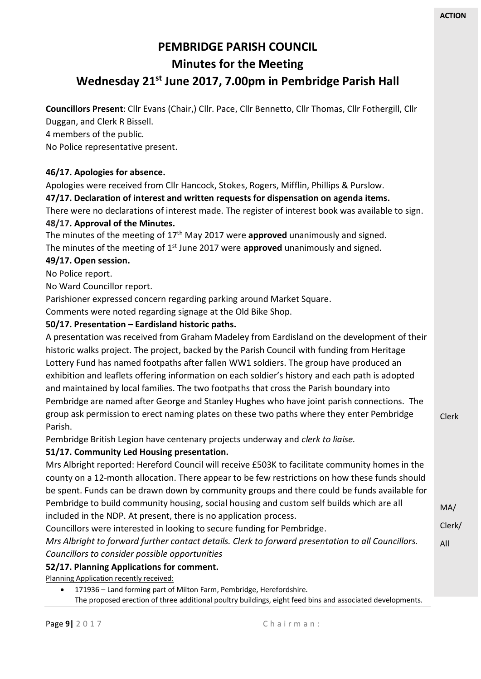Clerk

MA/

# **PEMBRIDGE PARISH COUNCIL Minutes for the Meeting Wednesday 21st June 2017, 7.00pm in Pembridge Parish Hall**

**Councillors Present**: Cllr Evans (Chair,) Cllr. Pace, Cllr Bennetto, Cllr Thomas, Cllr Fothergill, Cllr Duggan, and Clerk R Bissell.

4 members of the public.

No Police representative present.

## **46/17. Apologies for absence.**

Apologies were received from Cllr Hancock, Stokes, Rogers, Mifflin, Phillips & Purslow.

**47/17. Declaration of interest and written requests for dispensation on agenda items.**

There were no declarations of interest made. The register of interest book was available to sign. **48/17. Approval of the Minutes.**

The minutes of the meeting of 17<sup>th</sup> May 2017 were **approved** unanimously and signed. The minutes of the meeting of 1<sup>st</sup> June 2017 were **approved** unanimously and signed.

## **49/17. Open session.**

No Police report.

No Ward Councillor report.

Parishioner expressed concern regarding parking around Market Square.

Comments were noted regarding signage at the Old Bike Shop.

## **50/17. Presentation – Eardisland historic paths.**

A presentation was received from Graham Madeley from Eardisland on the development of their historic walks project. The project, backed by the Parish Council with funding from Heritage Lottery Fund has named footpaths after fallen WW1 soldiers. The group have produced an exhibition and leaflets offering information on each soldier's history and each path is adopted and maintained by local families. The two footpaths that cross the Parish boundary into Pembridge are named after George and Stanley Hughes who have joint parish connections. The group ask permission to erect naming plates on these two paths where they enter Pembridge Parish.

Pembridge British Legion have centenary projects underway and *clerk to liaise.*

# **51/17. Community Led Housing presentation.**

Mrs Albright reported: Hereford Council will receive £503K to facilitate community homes in the county on a 12-month allocation. There appear to be few restrictions on how these funds should be spent. Funds can be drawn down by community groups and there could be funds available for Pembridge to build community housing, social housing and custom self builds which are all included in the NDP. At present, there is no application process.

Clerk/ All Councillors were interested in looking to secure funding for Pembridge. *Mrs Albright to forward further contact details. Clerk to forward presentation to all Councillors. Councillors to consider possible opportunities*

## **52/17. Planning Applications for comment.**

Planning Application recently received:

• 171936 – Land forming part of Milton Farm, Pembridge, Herefordshire.

The proposed erection of three additional poultry buildings, eight feed bins and associated developments.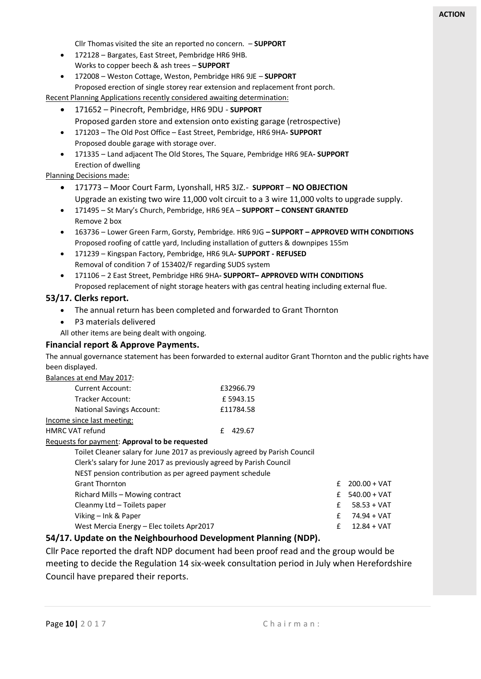Cllr Thomas visited the site an reported no concern. – **SUPPORT** 

- 172128 Bargates, East Street, Pembridge HR6 9HB.
- Works to copper beech & ash trees **SUPPORT**
- 172008 Weston Cottage, Weston, Pembridge HR6 9JE **SUPPORT** Proposed erection of single storey rear extension and replacement front porch.

Recent Planning Applications recently considered awaiting determination:

- 171652 Pinecroft, Pembridge, HR6 9DU **SUPPORT**
	- Proposed garden store and extension onto existing garage (retrospective)
- 171203 The Old Post Office East Street, Pembridge, HR6 9HA**- SUPPORT** Proposed double garage with storage over.
- 171335 Land adjacent The Old Stores, The Square, Pembridge HR6 9EA**- SUPPORT** Erection of dwelling

#### Planning Decisions made:

- 171773 Moor Court Farm, Lyonshall, HR5 3JZ.- **SUPPORT NO OBJECTION** Upgrade an existing two wire 11,000 volt circuit to a 3 wire 11,000 volts to upgrade supply.
- 171495 St Mary's Church, Pembridge, HR6 9EA **SUPPORT – CONSENT GRANTED** Remove 2 box
- 163736 Lower Green Farm, Gorsty, Pembridge. HR6 9JG **– SUPPORT – APPROVED WITH CONDITIONS** Proposed roofing of cattle yard, Including installation of gutters & downpipes 155m
- 171239 Kingspan Factory, Pembridge, HR6 9LA**- SUPPORT - REFUSED** Removal of condition 7 of 153402/F regarding SUDS system
- 171106 2 East Street, Pembridge HR6 9HA**- SUPPORT– APPROVED WITH CONDITIONS** Proposed replacement of night storage heaters with gas central heating including external flue.

#### **53/17. Clerks report.**

- The annual return has been completed and forwarded to Grant Thornton
- P3 materials delivered

All other items are being dealt with ongoing.

#### **Financial report & Approve Payments.**

The annual governance statement has been forwarded to external auditor Grant Thornton and the public rights have been displayed.

Balances at end May 2017:

| Current Account:                 | £32966.79 |
|----------------------------------|-----------|
| Tracker Account:                 | £5943.15  |
| <b>National Savings Account:</b> | £11784.58 |
| Income since last meeting:       |           |

HMRC VAT refund E 429.67

#### Requests for payment: **Approval to be requested**

| Toilet Cleaner salary for June 2017 as previously agreed by Parish Council |    |                |
|----------------------------------------------------------------------------|----|----------------|
| Clerk's salary for June 2017 as previously agreed by Parish Council        |    |                |
| NEST pension contribution as per agreed payment schedule                   |    |                |
| <b>Grant Thornton</b>                                                      | f  | $200.00 + VAT$ |
| Richard Mills - Mowing contract                                            | f. | $540.00 + VAT$ |
| Cleanmy Ltd - Toilets paper                                                | £  | $58.53 + VAT$  |
| Viking – Ink & Paper                                                       | f  | 74.94 + VAT    |
| West Mercia Energy - Elec toilets Apr2017                                  | £  | $12.84 + VAT$  |

#### **54/17. Update on the Neighbourhood Development Planning (NDP).**

Cllr Pace reported the draft NDP document had been proof read and the group would be meeting to decide the Regulation 14 six-week consultation period in July when Herefordshire Council have prepared their reports.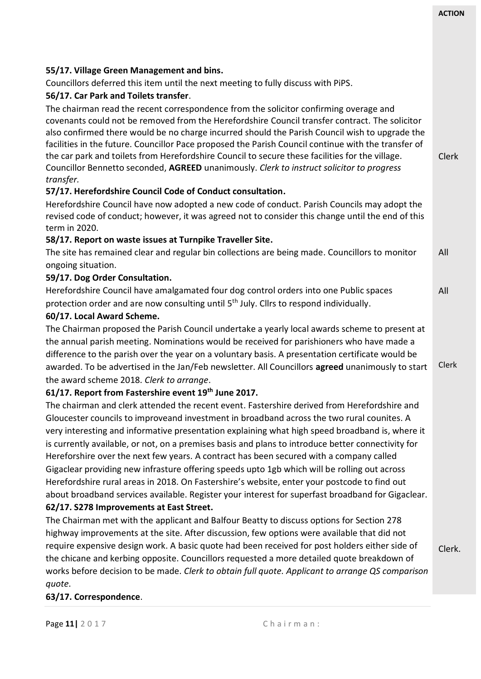## Clerk All All Clerk **55/17. Village Green Management and bins.** Councillors deferred this item until the next meeting to fully discuss with PiPS. **56/17. Car Park and Toilets transfer**. The chairman read the recent correspondence from the solicitor confirming overage and covenants could not be removed from the Herefordshire Council transfer contract. The solicitor also confirmed there would be no charge incurred should the Parish Council wish to upgrade the facilities in the future. Councillor Pace proposed the Parish Council continue with the transfer of the car park and toilets from Herefordshire Council to secure these facilities for the village. Councillor Bennetto seconded, **AGREED** unanimously. *Clerk to instruct solicitor to progress transfer.* **57/17. Herefordshire Council Code of Conduct consultation.** Herefordshire Council have now adopted a new code of conduct. Parish Councils may adopt the revised code of conduct; however, it was agreed not to consider this change until the end of this term in 2020. **58/17. Report on waste issues at Turnpike Traveller Site.** The site has remained clear and regular bin collections are being made. Councillors to monitor ongoing situation. **59/17. Dog Order Consultation.** Herefordshire Council have amalgamated four dog control orders into one Public spaces protection order and are now consulting until 5<sup>th</sup> July. Cllrs to respond individually. **60/17. Local Award Scheme.** The Chairman proposed the Parish Council undertake a yearly local awards scheme to present at the annual parish meeting. Nominations would be received for parishioners who have made a difference to the parish over the year on a voluntary basis. A presentation certificate would be awarded. To be advertised in the Jan/Feb newsletter. All Councillors **agreed** unanimously to start the award scheme 2018. *Clerk to arrange*. **61/17. Report from Fastershire event 19th June 2017.**

The chairman and clerk attended the recent event. Fastershire derived from Herefordshire and Gloucester councils to improveand investment in broadband across the two rural counites. A very interesting and informative presentation explaining what high speed broadband is, where it is currently available, or not, on a premises basis and plans to introduce better connectivity for Hereforshire over the next few years. A contract has been secured with a company called Gigaclear providing new infrasture offering speeds upto 1gb which will be rolling out across Herefordshire rural areas in 2018. On Fastershire's website, enter your postcode to find out about broadband services available. Register your interest for superfast broadband for Gigaclear. **62/17. S278 Improvements at East Street.**

Clerk. The Chairman met with the applicant and Balfour Beatty to discuss options for Section 278 highway improvements at the site. After discussion, few options were available that did not require expensive design work. A basic quote had been received for post holders either side of the chicane and kerbing opposite. Councillors requested a more detailed quote breakdown of works before decision to be made. *Clerk to obtain full quote. Applicant to arrange QS comparison quote*.

# **63/17. Correspondence**.